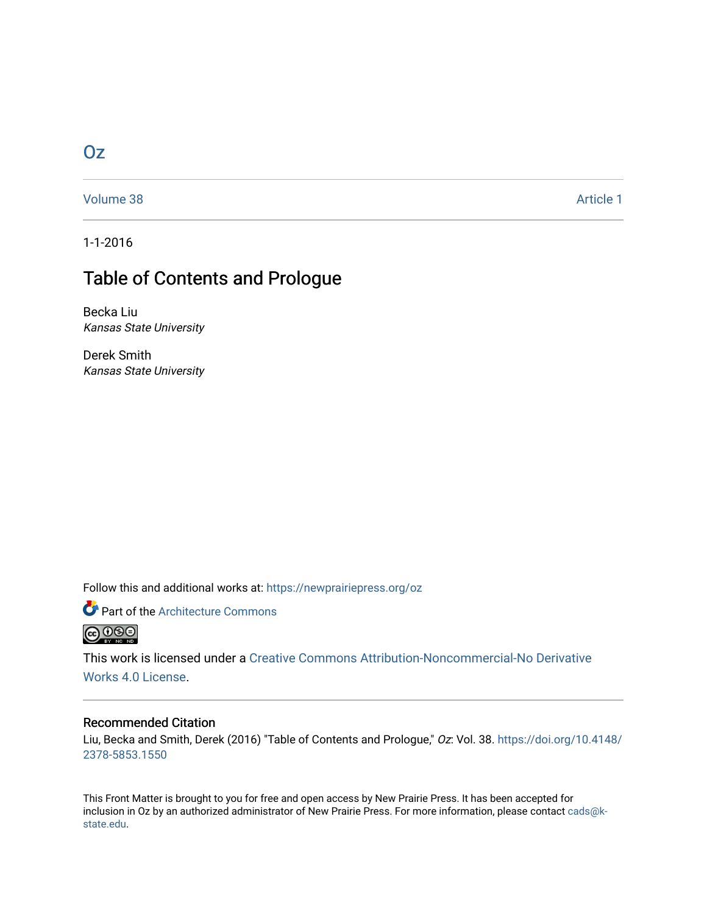# [Oz](https://newprairiepress.org/oz)

[Volume 38](https://newprairiepress.org/oz/vol38) Article 1

1-1-2016

# Table of Contents and Prologue

Becka Liu Kansas State University

Derek Smith Kansas State University

Follow this and additional works at: [https://newprairiepress.org/oz](https://newprairiepress.org/oz?utm_source=newprairiepress.org%2Foz%2Fvol38%2Fiss1%2F1&utm_medium=PDF&utm_campaign=PDFCoverPages) 



This work is licensed under a [Creative Commons Attribution-Noncommercial-No Derivative](https://creativecommons.org/licenses/by-nc-nd/4.0/)  [Works 4.0 License](https://creativecommons.org/licenses/by-nc-nd/4.0/).

## Recommended Citation

Liu, Becka and Smith, Derek (2016) "Table of Contents and Prologue," Oz: Vol. 38. [https://doi.org/10.4148/](https://doi.org/10.4148/2378-5853.1550) [2378-5853.1550](https://doi.org/10.4148/2378-5853.1550) 

This Front Matter is brought to you for free and open access by New Prairie Press. It has been accepted for inclusion in Oz by an authorized administrator of New Prairie Press. For more information, please contact [cads@k](mailto:cads@k-state.edu)[state.edu](mailto:cads@k-state.edu).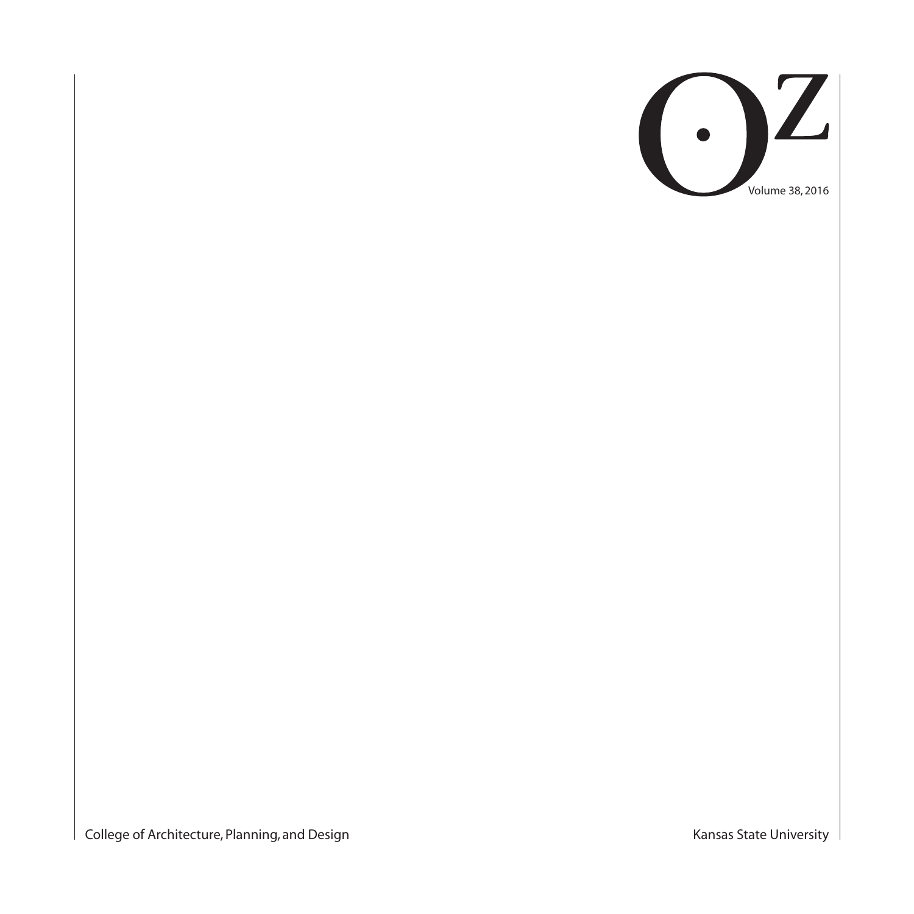

College of Architecture, Planning, and Design Kansas State University Kansas State University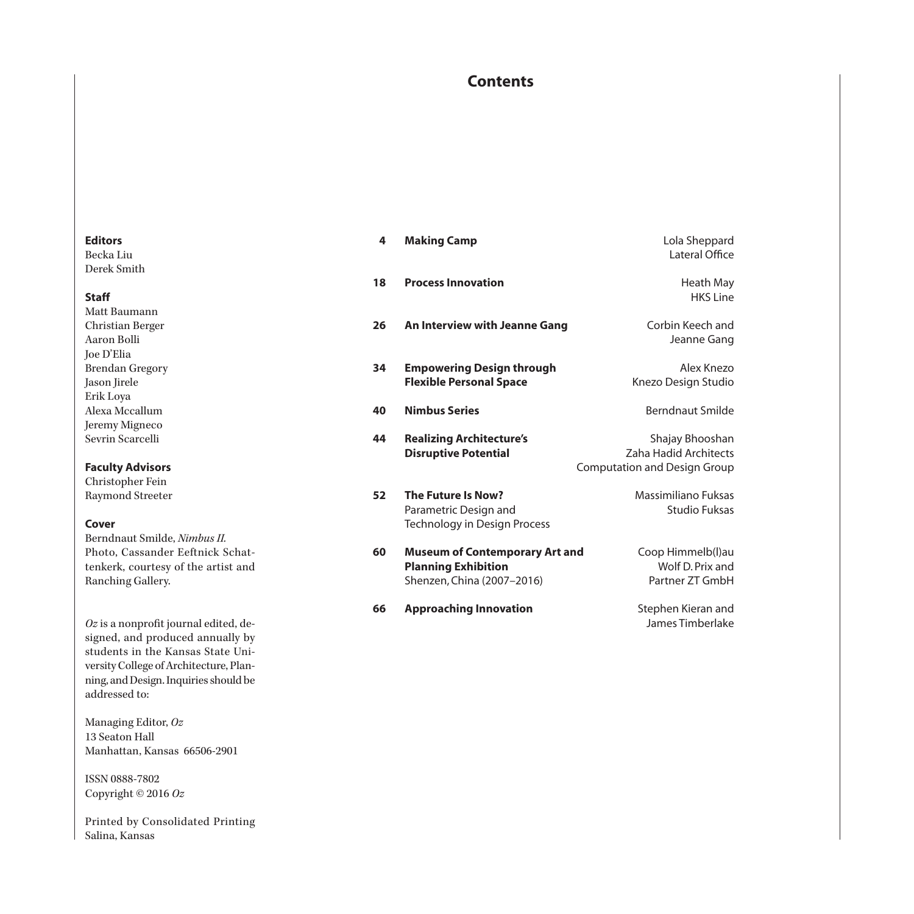# **Contents**

### **Editors**

Becka Liu Derek Smith

## **Staff**

Matt Baumann Christian Berger Aaron Bolli Joe D'Elia Brendan Gregory Jason Jirele Erik Loya Alexa Mccallum Jeremy Migneco Sevrin Scarcelli

### **Faculty Advisors**

Christopher Fein Raymond Streeter

#### **Cover**

Berndnaut Smilde, *Nimbus II.* Photo, Cassander Eeftnick Schattenkerk, courtesy of the artist and Ranching Gallery.

*Oz* is a nonprofit journal edited, designed, and produced annually by students in the Kansas State University College of Architecture, Planning, and Design. Inquiries should be addressed to:

Managing Editor, *Oz* 13 Seaton Hall Manhattan, Kansas 66506-2901

ISSN 0888-7802 Copyright © 2016 *Oz*

Printed by Consolidated Printing Salina, Kansas

| 4  | <b>Making Camp</b>                                                                                | Lola Sheppard<br>Lateral Office                                                        |
|----|---------------------------------------------------------------------------------------------------|----------------------------------------------------------------------------------------|
| 18 | <b>Process Innovation</b>                                                                         | Heath May<br><b>HKS Line</b>                                                           |
| 26 | An Interview with Jeanne Gang                                                                     | Corbin Keech and<br>Jeanne Gang                                                        |
| 34 | <b>Empowering Design through</b><br><b>Flexible Personal Space</b>                                | Alex Knezo<br>Knezo Design Studio                                                      |
| 40 | <b>Nimbus Series</b>                                                                              | Berndnaut Smilde                                                                       |
| 44 | <b>Realizing Architecture's</b><br><b>Disruptive Potential</b>                                    | Shajay Bhooshan<br><b>Zaha Hadid Architects</b><br><b>Computation and Design Group</b> |
| 52 | The Future Is Now?<br>Parametric Design and<br><b>Technology in Design Process</b>                | Massimiliano Fuksas<br>Studio Fuksas                                                   |
| 60 | <b>Museum of Contemporary Art and</b><br><b>Planning Exhibition</b><br>Shenzen, China (2007-2016) | Coop Himmelb(I)au<br>Wolf D. Prix and<br>Partner 7T GmbH                               |

**66 Approaching Innovation** Stephen Kieran and

James Timberlake